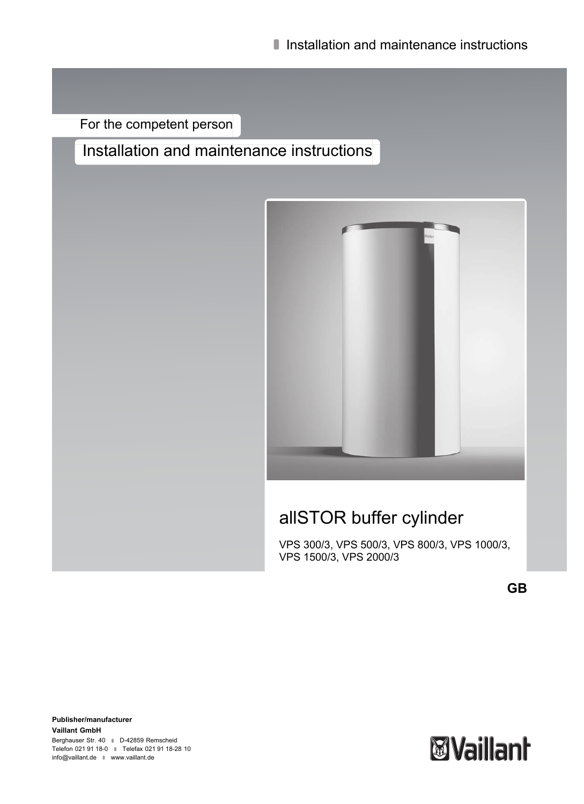For the competent person

# Installation and maintenance instructions



# allSTOR buffer cylinder

VPS 300/3, VPS 500/3, VPS 800/3, VPS 1000/3, VPS 1500/3, VPS 2000/3

**GB**

**Publisher/manufacturer Vaillant GmbH** Berghauser Str. 40 **D-42859 Remscheid** Telefon 021 91 18‑0 Telefax 021 91 18‑28 10 info@vaillant.de www.vaillant.de

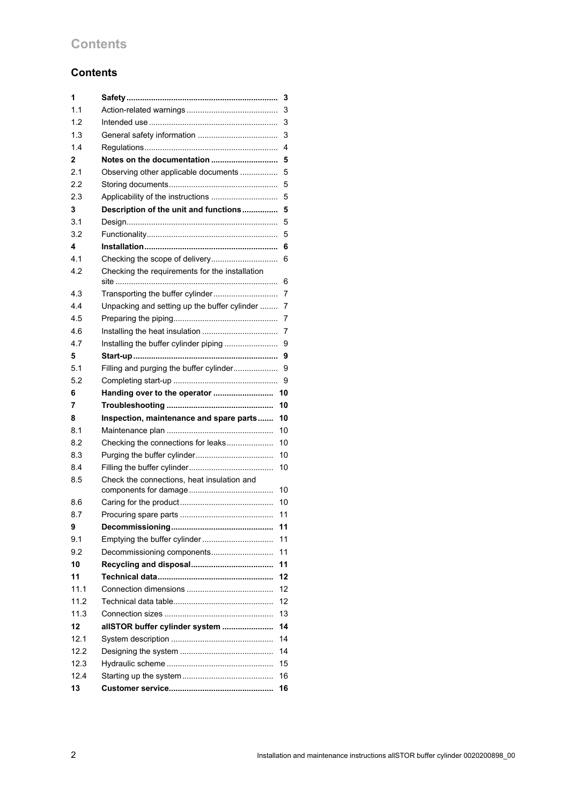# **Contents**

# **Contents**

| 1    |                                                | 3  |
|------|------------------------------------------------|----|
| 1.1  |                                                | 3  |
| 1.2  |                                                | 3  |
| 1.3  |                                                | 3  |
| 1.4  |                                                | 4  |
| 2    | Notes on the documentation                     | 5  |
| 2.1  | Observing other applicable documents           | 5  |
| 2.2  |                                                | 5  |
| 2.3  |                                                | 5  |
| 3    | Description of the unit and functions          | 5  |
| 3.1  |                                                | 5  |
| 3.2  |                                                | 5  |
| 4    |                                                | 6  |
| 4.1  |                                                | 6  |
| 4.2  | Checking the requirements for the installation | 6  |
| 4.3  | Transporting the buffer cylinder               | 7  |
| 4.4  | Unpacking and setting up the buffer cylinder   | 7  |
| 4.5  |                                                | 7  |
| 4.6  |                                                | 7  |
| 4.7  |                                                | 9  |
| 5    |                                                | 9  |
| 5.1  | Filling and purging the buffer cylinder        | 9  |
| 5.2  |                                                | 9  |
|      |                                                |    |
| 6    | Handing over to the operator                   | 10 |
| 7    |                                                | 10 |
| 8    | Inspection, maintenance and spare parts        | 10 |
| 8.1  |                                                | 10 |
| 8.2  | Checking the connections for leaks             | 10 |
| 8.3  |                                                | 10 |
| 8.4  |                                                | 10 |
| 8.5  | Check the connections, heat insulation and     | 10 |
| 8.6  |                                                | 10 |
| 8.7  |                                                | 11 |
| 9    |                                                | 11 |
| 9.1  | Emptying the buffer cylinder                   | 11 |
| 9.2  | Decommissioning components                     | 11 |
| 10   |                                                | 11 |
| 11   |                                                | 12 |
| 11.1 |                                                | 12 |
| 11.2 |                                                | 12 |
| 11.3 |                                                | 13 |
| 12   | allSTOR buffer cylinder system                 | 14 |
| 12.1 |                                                | 14 |
| 12.2 |                                                | 14 |
| 12.3 |                                                | 15 |
| 12.4 |                                                | 16 |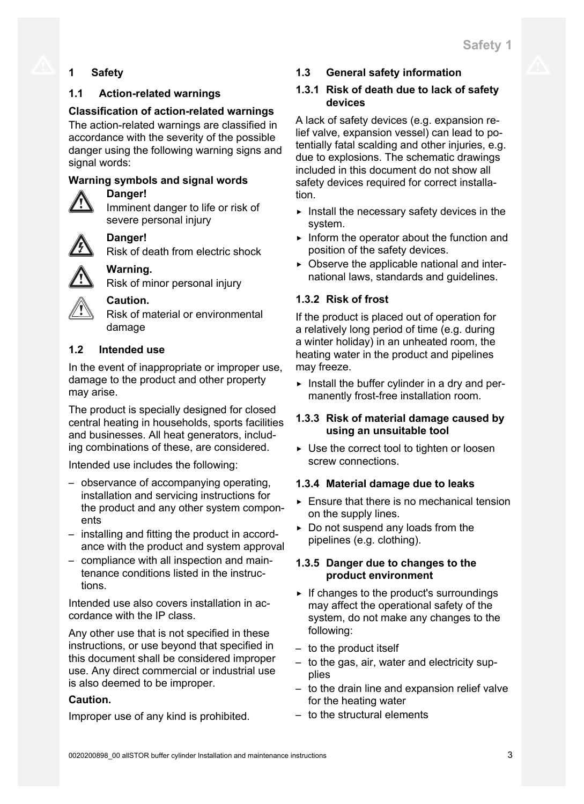# **1 Safety**

## **1.1 Action-related warnings**

## **Classification of action-related warnings**

The action-related warnings are classified in accordance with the severity of the possible danger using the following warning signs and signal words:

## **Warning symbols and signal words**

## **Danger!**

Imminent danger to life or risk of severe personal injury

# **Danger!**

Risk of death from electric shock

# **Warning.**

Risk of minor personal injury



# **Caution.**

Risk of material or environmental damage

# **1.2 Intended use**

In the event of inappropriate or improper use, damage to the product and other property may arise.

The product is specially designed for closed central heating in households, sports facilities and businesses. All heat generators, including combinations of these, are considered.

Intended use includes the following:

- observance of accompanying operating, installation and servicing instructions for the product and any other system components
- installing and fitting the product in accordance with the product and system approval
- compliance with all inspection and maintenance conditions listed in the instructions.

Intended use also covers installation in accordance with the IP class.

Any other use that is not specified in these instructions, or use beyond that specified in this document shall be considered improper use. Any direct commercial or industrial use is also deemed to be improper.

## **Caution.**

Improper use of any kind is prohibited.

## **1.3 General safety information**

## **1.3.1 Risk of death due to lack of safety devices**

A lack of safety devices (e.g. expansion relief valve, expansion vessel) can lead to potentially fatal scalding and other injuries, e.g. due to explosions. The schematic drawings included in this document do not show all safety devices required for correct installation.

- $\blacktriangleright$  Install the necessary safety devices in the system.
- $\blacktriangleright$  Inform the operator about the function and position of the safety devices.
- $\triangleright$  Observe the applicable national and international laws, standards and guidelines.

# **1.3.2 Risk of frost**

If the product is placed out of operation for a relatively long period of time (e.g. during a winter holiday) in an unheated room, the heating water in the product and pipelines may freeze.

 $\triangleright$  Install the buffer cylinder in a dry and permanently frost-free installation room.

## **1.3.3 Risk of material damage caused by using an unsuitable tool**

▶ Use the correct tool to tighten or loosen screw connections.

## **1.3.4 Material damage due to leaks**

- $\triangleright$  Ensure that there is no mechanical tension on the supply lines.
- $\triangleright$  Do not suspend any loads from the pipelines (e.g. clothing).

## **1.3.5 Danger due to changes to the product environment**

- $\triangleright$  If changes to the product's surroundings may affect the operational safety of the system, do not make any changes to the following:
- to the product itself
- to the gas, air, water and electricity supplies
- to the drain line and expansion relief valve for the heating water
- to the structural elements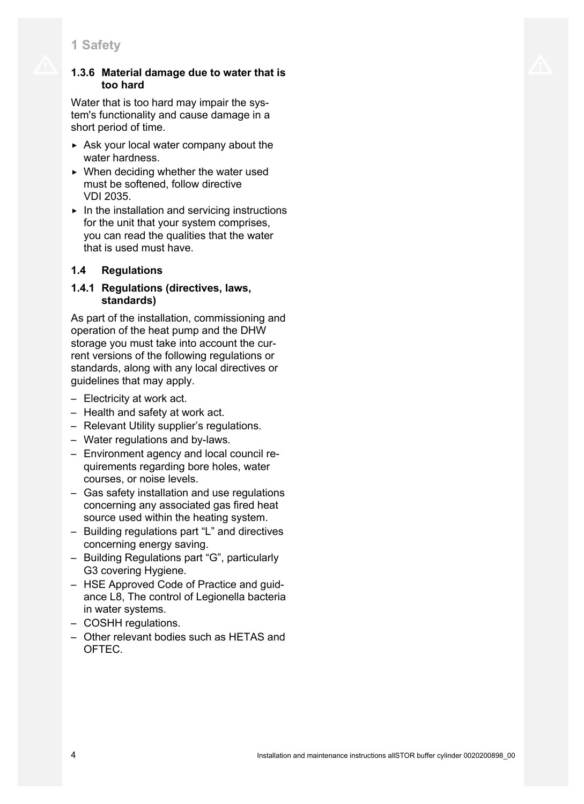## **1.3.6 Material damage due to water that is too hard**

Water that is too hard may impair the system's functionality and cause damage in a short period of time.

- $\triangleright$  Ask your local water company about the water hardness.
- $\triangleright$  When deciding whether the water used must be softened, follow directive VDI 2035.
- $\blacktriangleright$  In the installation and servicing instructions for the unit that your system comprises, you can read the qualities that the water that is used must have.

# **1.4 Regulations**

## **1.4.1 Regulations (directives, laws, standards)**

As part of the installation, commissioning and operation of the heat pump and the DHW storage you must take into account the current versions of the following regulations or standards, along with any local directives or guidelines that may apply.

- Electricity at work act.
- Health and safety at work act.
- Relevant Utility supplier's regulations.
- Water regulations and by-laws.
- Environment agency and local council requirements regarding bore holes, water courses, or noise levels.
- Gas safety installation and use regulations concerning any associated gas fired heat source used within the heating system.
- Building regulations part "L" and directives concerning energy saving.
- Building Regulations part "G", particularly G3 covering Hygiene.
- HSE Approved Code of Practice and guidance L8, The control of Legionella bacteria in water systems.
- COSHH regulations.
- Other relevant bodies such as HETAS and OFTEC.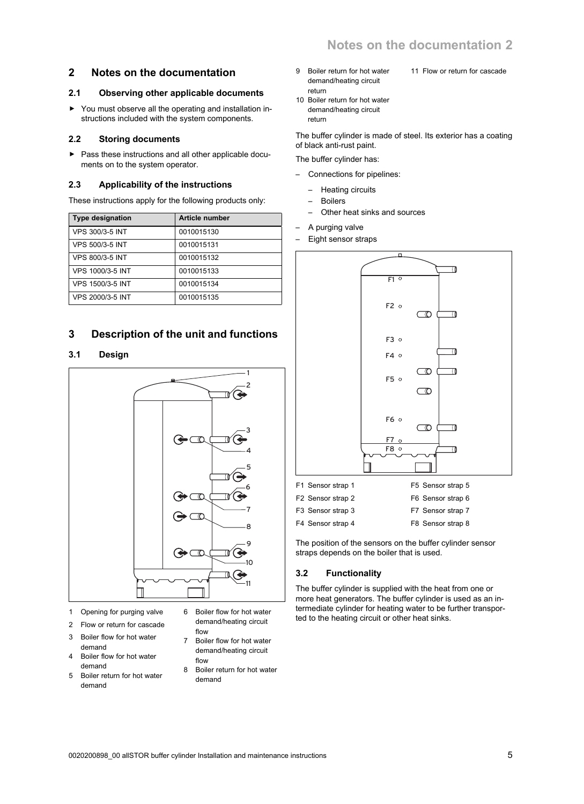11 Flow or return for cascade

## **2 Notes on the documentation**

#### **2.1 Observing other applicable documents**

▶ You must observe all the operating and installation instructions included with the system components.

#### **2.2 Storing documents**

▶ Pass these instructions and all other applicable documents on to the system operator.

#### **2.3 Applicability of the instructions**

These instructions apply for the following products only:

| <b>Type designation</b> | <b>Article number</b> |
|-------------------------|-----------------------|
| <b>VPS 300/3-5 INT</b>  | 0010015130            |
| <b>VPS 500/3-5 INT</b>  | 0010015131            |
| <b>VPS 800/3-5 INT</b>  | 0010015132            |
| VPS 1000/3-5 INT        | 0010015133            |
| VPS 1500/3-5 INT        | 0010015134            |
| VPS 2000/3-5 INT        | 0010015135            |

## **3 Description of the unit and functions**

#### **3.1 Design**



- 1 Opening for purging valve
- 2 Flow or return for cascade
- 3 Boiler flow for hot water demand
- 4 Boiler flow for hot water demand
- 5 Boiler return for hot water demand
- 6 Boiler flow for hot water demand/heating circuit flow
- 7 Boiler flow for hot water demand/heating circuit flow
- 8 Boiler return for hot water demand
- 9 Boiler return for hot water demand/heating circuit return
- 10 Boiler return for hot water demand/heating circuit return

The buffer cylinder is made of steel. Its exterior has a coating of black anti-rust paint.

The buffer cylinder has:

- Connections for pipelines:
	- Heating circuits
	- Boilers
	- Other heat sinks and sources
- A purging valve
- Eight sensor straps



The position of the sensors on the buffer cylinder sensor straps depends on the boiler that is used.

#### **3.2 Functionality**

The buffer cylinder is supplied with the heat from one or more heat generators. The buffer cylinder is used as an intermediate cylinder for heating water to be further transported to the heating circuit or other heat sinks.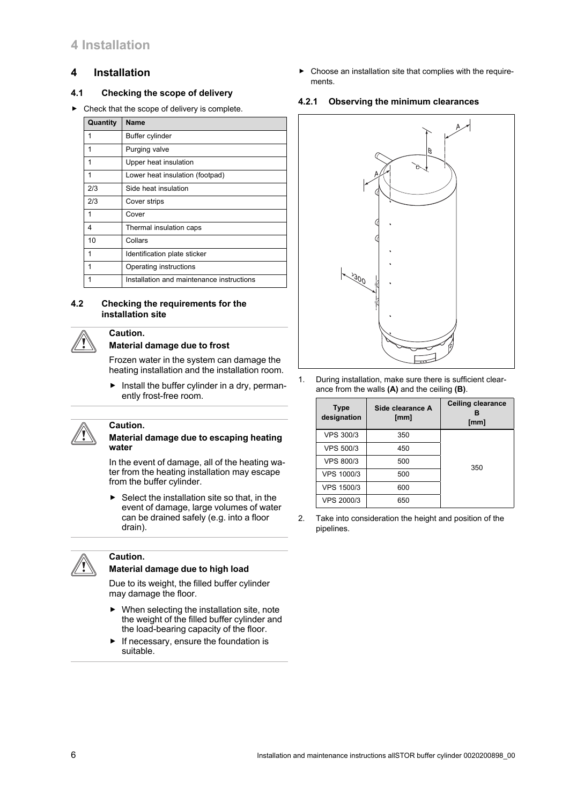## **4 Installation**

## **4.1 Checking the scope of delivery**

 $\triangleright$  Check that the scope of delivery is complete.

| Quantity | <b>Name</b>                               |
|----------|-------------------------------------------|
|          | Buffer cylinder                           |
|          | Purging valve                             |
|          | Upper heat insulation                     |
| 1        | Lower heat insulation (footpad)           |
| 2/3      | Side heat insulation                      |
| 2/3      | Cover strips                              |
|          | Cover                                     |
| 4        | Thermal insulation caps                   |
| 10       | Collars                                   |
|          | Identification plate sticker              |
|          | Operating instructions                    |
|          | Installation and maintenance instructions |

#### **4.2 Checking the requirements for the installation site**



# **Caution.**

# **Material damage due to frost**

Frozen water in the system can damage the heating installation and the installation room.

 $\blacktriangleright$  Install the buffer cylinder in a dry, permanently frost-free room.



## **Caution.**

#### **Material damage due to escaping heating water**

In the event of damage, all of the heating water from the heating installation may escape from the buffer cylinder.

 $\blacktriangleright$  Select the installation site so that, in the event of damage, large volumes of water can be drained safely (e.g. into a floor drain).



## **Caution.**

## **Material damage due to high load**

Due to its weight, the filled buffer cylinder may damage the floor.

- $\blacktriangleright$  When selecting the installation site, note the weight of the filled buffer cylinder and the load-bearing capacity of the floor.
- $\blacktriangleright$  If necessary, ensure the foundation is suitable.

 $\triangleright$  Choose an installation site that complies with the requirements.

## **4.2.1 Observing the minimum clearances**



1. During installation, make sure there is sufficient clearance from the walls **(A)** and the ceiling **(B)**.

| <b>Type</b><br>designation | Side clearance A<br>[mm] | <b>Ceiling clearance</b><br>[mm] |
|----------------------------|--------------------------|----------------------------------|
| <b>VPS 300/3</b>           | 350                      |                                  |
| <b>VPS 500/3</b>           | 450                      |                                  |
| <b>VPS 800/3</b>           | 500                      | 350                              |
| VPS 1000/3                 | 500                      |                                  |
| VPS 1500/3                 | 600                      |                                  |
| <b>VPS 2000/3</b>          | 650                      |                                  |

<sup>2.</sup> Take into consideration the height and position of the pipelines.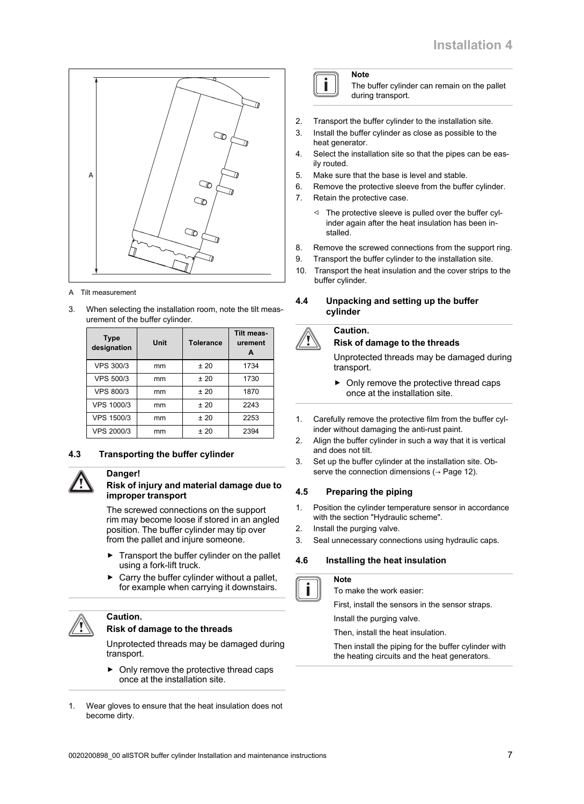

#### A Tilt measurement

3. When selecting the installation room, note the tilt measurement of the buffer cylinder.

| <b>Type</b><br>designation | Unit | <b>Tolerance</b> | <b>Tilt meas-</b><br>urement<br>A |
|----------------------------|------|------------------|-----------------------------------|
| <b>VPS 300/3</b>           | mm   | ±20              | 1734                              |
| <b>VPS 500/3</b>           | mm   | ±20              | 1730                              |
| <b>VPS 800/3</b>           | mm   | ±20              | 1870                              |
| <b>VPS 1000/3</b>          | mm   | ±20              | 2243                              |
| <b>VPS 1500/3</b>          | mm   | ±20              | 2253                              |
| VPS 2000/3                 | mm   | ±20              | 2394                              |

#### **4.3 Transporting the buffer cylinder**



## **Danger!**

#### **Risk of injury and material damage due to improper transport**

The screwed connections on the support rim may become loose if stored in an angled position. The buffer cylinder may tip over from the pallet and injure someone.

- $\blacktriangleright$  Transport the buffer cylinder on the pallet using a fork-lift truck.
- Carry the buffer cylinder without a pallet, for example when carrying it downstairs.

## **Caution.**

#### **Risk of damage to the threads**

Unprotected threads may be damaged during transport.

- ▶ Only remove the protective thread caps once at the installation site.
- 1. Wear gloves to ensure that the heat insulation does not become dirty.

The buffer cylinder can remain on the pallet during transport.

- 2. Transport the buffer cylinder to the installation site.
- 3. Install the buffer cylinder as close as possible to the heat generator.
- 4. Select the installation site so that the pipes can be easily routed.
- 5. Make sure that the base is level and stable.
- 6. Remove the protective sleeve from the buffer cylinder.
- 7. Retain the protective case.

**Note**

- ◁ The protective sleeve is pulled over the buffer cylinder again after the heat insulation has been installed.
- 8. Remove the screwed connections from the support ring.
- 9. Transport the buffer cylinder to the installation site.
- 10. Transport the heat insulation and the cover strips to the buffer cylinder.
- **4.4 Unpacking and setting up the buffer cylinder**

## **Caution.**

#### **Risk of damage to the threads**

Unprotected threads may be damaged during transport.

- ▶ Only remove the protective thread caps once at the installation site.
- 1. Carefully remove the protective film from the buffer cylinder without damaging the anti-rust paint.
- 2. Align the buffer cylinder in such a way that it is vertical and does not tilt.
- 3. Set up the buffer cylinder at the installation site. Observe the connection dimensions ( $\rightarrow$  Page 12).

#### **4.5 Preparing the piping**

- 1. Position the cylinder temperature sensor in accordance with the section "Hydraulic scheme".
- 2. Install the purging valve.
- 3. Seal unnecessary connections using hydraulic caps.

#### **4.6 Installing the heat insulation**



#### **Note**

To make the work easier:

First, install the sensors in the sensor straps.

Install the purging valve.

Then, install the heat insulation.

Then install the piping for the buffer cylinder with the heating circuits and the heat generators.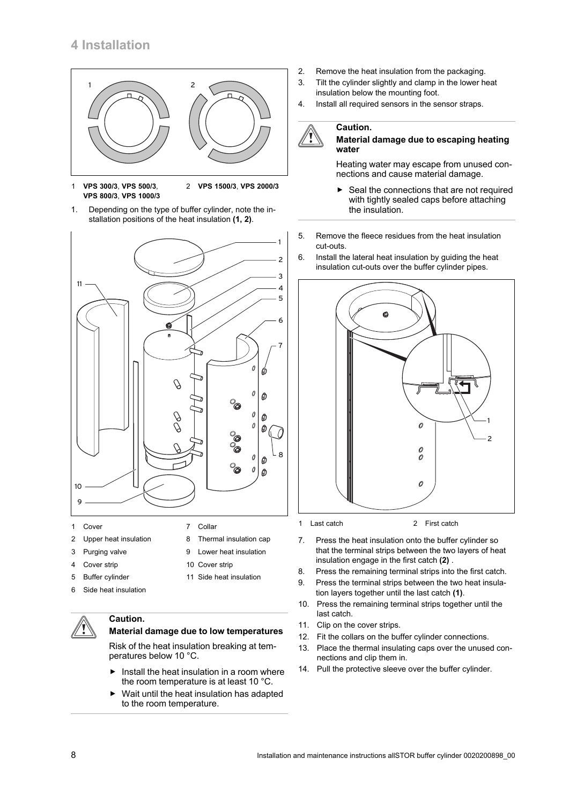

- 1 **VPS 300/3**, **VPS 500/3**, **VPS 800/3**, **VPS 1000/3** 2 **VPS 1500/3**, **VPS 2000/3**
- 1. Depending on the type of buffer cylinder, note the installation positions of the heat insulation **(1, 2)**.



- 2 Upper heat insulation
- 3 Purging valve
- 4 Cover strip
- 5 Buffer cylinder
- 6 Side heat insulation

## **Caution.**

## **Material damage due to low temperatures**

8 Thermal insulation cap 9 Lower heat insulation

11 Side heat insulation

10 Cover strip

Risk of the heat insulation breaking at temperatures below 10 °C.

- $\blacktriangleright$  Install the heat insulation in a room where the room temperature is at least 10 °C.
- Wait until the heat insulation has adapted to the room temperature.
- 2. Remove the heat insulation from the packaging.
- 3. Tilt the cylinder slightly and clamp in the lower heat insulation below the mounting foot.
- 4. Install all required sensors in the sensor straps.

## **Caution.**



Heating water may escape from unused connections and cause material damage.

- Seal the connections that are not required with tightly sealed caps before attaching the insulation.
- 5. Remove the fleece residues from the heat insulation cut-outs.
- 6. Install the lateral heat insulation by guiding the heat insulation cut-outs over the buffer cylinder pipes.



1 Last catch 2 First catch

- 7. Press the heat insulation onto the buffer cylinder so that the terminal strips between the two layers of heat insulation engage in the first catch **(2)** .
- 8. Press the remaining terminal strips into the first catch.
- 9. Press the terminal strips between the two heat insulation layers together until the last catch **(1)**.
- 10. Press the remaining terminal strips together until the last catch.
- 11. Clip on the cover strips.
- 12. Fit the collars on the buffer cylinder connections.
- 13. Place the thermal insulating caps over the unused connections and clip them in.
- 14. Pull the protective sleeve over the buffer cylinder.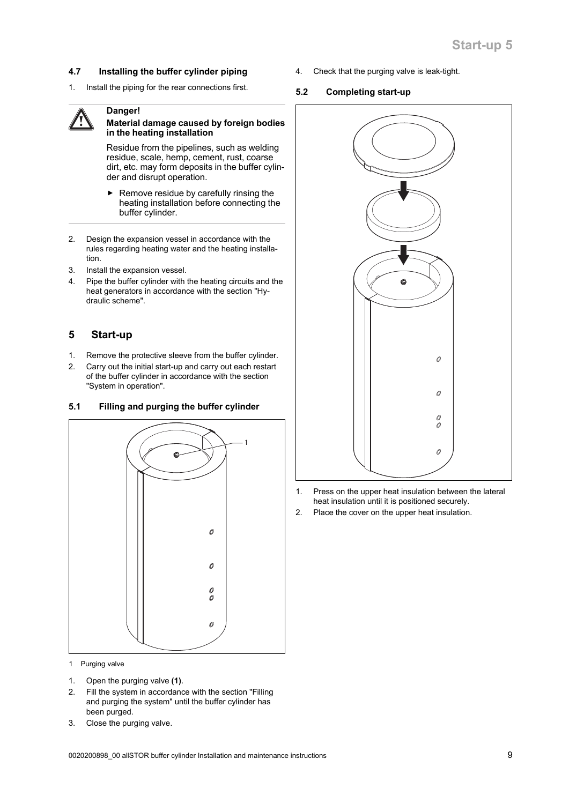## **4.7 Installing the buffer cylinder piping**

1. Install the piping for the rear connections first.

# **Danger!**



## **Material damage caused by foreign bodies in the heating installation**

Residue from the pipelines, such as welding residue, scale, hemp, cement, rust, coarse dirt, etc. may form deposits in the buffer cylinder and disrupt operation.

- $\blacktriangleright$  Remove residue by carefully rinsing the heating installation before connecting the buffer cylinder.
- 2. Design the expansion vessel in accordance with the rules regarding heating water and the heating installation.
- 3. Install the expansion vessel.
- 4. Pipe the buffer cylinder with the heating circuits and the heat generators in accordance with the section "Hydraulic scheme".

## **5 Start-up**

- 1. Remove the protective sleeve from the buffer cylinder.
- 2. Carry out the initial start-up and carry out each restart of the buffer cylinder in accordance with the section "System in operation".

## **5.1 Filling and purging the buffer cylinder**



- 1 Purging valve
- 1. Open the purging valve **(1)**.
- 2. Fill the system in accordance with the section "Filling and purging the system" until the buffer cylinder has been purged.
- 3. Close the purging valve.

4. Check that the purging valve is leak-tight.

#### **5.2 Completing start-up**



- 1. Press on the upper heat insulation between the lateral heat insulation until it is positioned securely.
- 2. Place the cover on the upper heat insulation.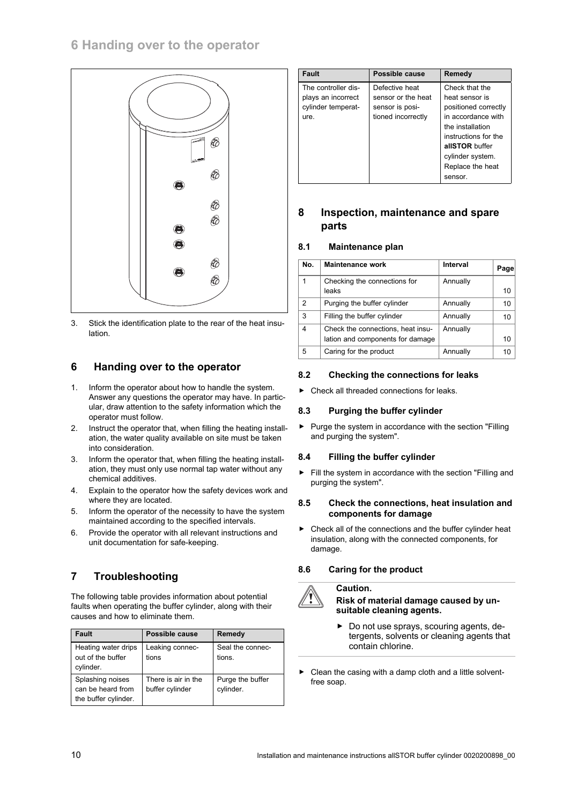

3. Stick the identification plate to the rear of the heat insulation.

## **6 Handing over to the operator**

- 1. Inform the operator about how to handle the system. Answer any questions the operator may have. In particular, draw attention to the safety information which the operator must follow.
- 2. Instruct the operator that, when filling the heating installation, the water quality available on site must be taken into consideration.
- 3. Inform the operator that, when filling the heating installation, they must only use normal tap water without any chemical additives.
- 4. Explain to the operator how the safety devices work and where they are located.
- 5. Inform the operator of the necessity to have the system maintained according to the specified intervals.
- 6. Provide the operator with all relevant instructions and unit documentation for safe-keeping.

# **7 Troubleshooting**

The following table provides information about potential faults when operating the buffer cylinder, along with their causes and how to eliminate them.

| <b>Fault</b>                                                  | Possible cause                         | Remedy                        |
|---------------------------------------------------------------|----------------------------------------|-------------------------------|
| Heating water drips<br>out of the buffer<br>cylinder.         | Leaking connec-<br>tions               | Seal the connec-<br>tions.    |
| Splashing noises<br>can be heard from<br>the buffer cylinder. | There is air in the<br>buffer cylinder | Purge the buffer<br>cylinder. |

| <b>Fault</b>                                                            | Possible cause                                                                | Remedy                                                                                                                                                                                          |
|-------------------------------------------------------------------------|-------------------------------------------------------------------------------|-------------------------------------------------------------------------------------------------------------------------------------------------------------------------------------------------|
| The controller dis-<br>plays an incorrect<br>cylinder temperat-<br>ure. | Defective heat<br>sensor or the heat<br>sensor is posi-<br>tioned incorrectly | Check that the<br>heat sensor is<br>positioned correctly<br>in accordance with<br>the installation<br>instructions for the<br>allSTOR buffer<br>cylinder system.<br>Replace the heat<br>sensor. |

## **8 Inspection, maintenance and spare parts**

#### **8.1 Maintenance plan**

| No. | <b>Maintenance work</b>           | Interval | Page |
|-----|-----------------------------------|----------|------|
| 1   | Checking the connections for      | Annually |      |
|     | leaks                             |          | 10   |
| 2   | Purging the buffer cylinder       | Annually | 10   |
| 3   | Filling the buffer cylinder       | Annually | 10   |
| 4   | Check the connections, heat insu- | Annually |      |
|     | lation and components for damage  |          | 10   |
| 5   | Caring for the product            | Annually | 10   |

#### **8.2 Checking the connections for leaks**

▶ Check all threaded connections for leaks.

## **8.3 Purging the buffer cylinder**

▶ Purge the system in accordance with the section "Filling and purging the system".

#### **8.4 Filling the buffer cylinder**

▶ Fill the system in accordance with the section "Filling and purging the system".

#### **8.5 Check the connections, heat insulation and components for damage**

 $\triangleright$  Check all of the connections and the buffer cylinder heat insulation, along with the connected components, for damage.

## **8.6 Caring for the product**

#### **Caution.**

**Risk of material damage caused by unsuitable cleaning agents.**

- ▶ Do not use sprays, scouring agents, detergents, solvents or cleaning agents that contain chlorine.
- Clean the casing with a damp cloth and a little solventfree soap.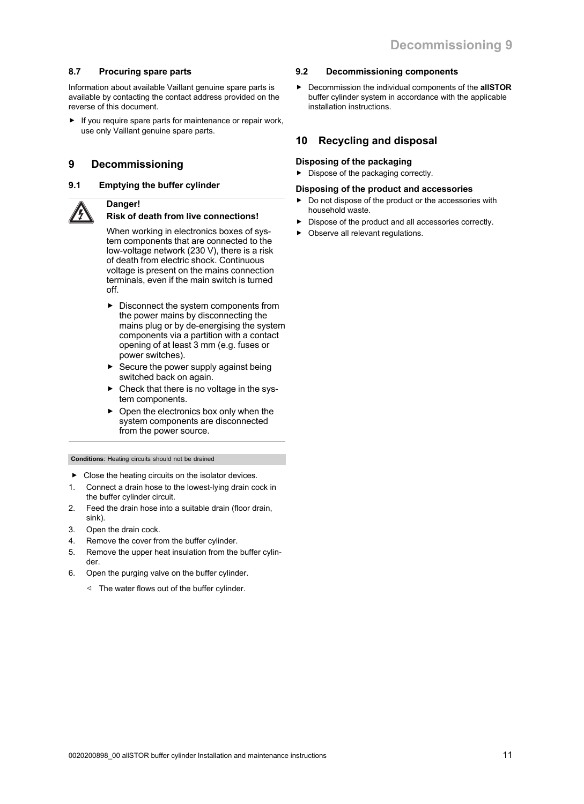#### **8.7 Procuring spare parts**

Information about available Vaillant genuine spare parts is available by contacting the contact address provided on the reverse of this document.

If you require spare parts for maintenance or repair work, use only Vaillant genuine spare parts.

## **9 Decommissioning**

#### **9.1 Emptying the buffer cylinder**

#### **Danger! Risk of death from live connections!**

When working in electronics boxes of system components that are connected to the low-voltage network (230 V), there is a risk of death from electric shock. Continuous voltage is present on the mains connection terminals, even if the main switch is turned off.

- ▶ Disconnect the system components from the power mains by disconnecting the mains plug or by de-energising the system components via a partition with a contact opening of at least 3 mm (e.g. fuses or power switches).
- Secure the power supply against being switched back on again.
- $\triangleright$  Check that there is no voltage in the system components.
- Open the electronics box only when the system components are disconnected from the power source.

#### **Conditions**: Heating circuits should not be drained

- $\blacktriangleright$  Close the heating circuits on the isolator devices.
- 1. Connect a drain hose to the lowest-lying drain cock in the buffer cylinder circuit.
- 2. Feed the drain hose into a suitable drain (floor drain, sink).
- 3. Open the drain cock.
- 4. Remove the cover from the buffer cylinder.
- 5. Remove the upper heat insulation from the buffer cylinder.
- 6. Open the purging valve on the buffer cylinder.
	- ◁ The water flows out of the buffer cylinder.

#### **9.2 Decommissioning components**

▶ Decommission the individual components of the **allSTOR** buffer cylinder system in accordance with the applicable installation instructions.

## **10 Recycling and disposal**

## **Disposing of the packaging**

▶ Dispose of the packaging correctly.

#### **Disposing of the product and accessories**

- Do not dispose of the product or the accessories with household waste.
- Dispose of the product and all accessories correctly.
- Observe all relevant regulations.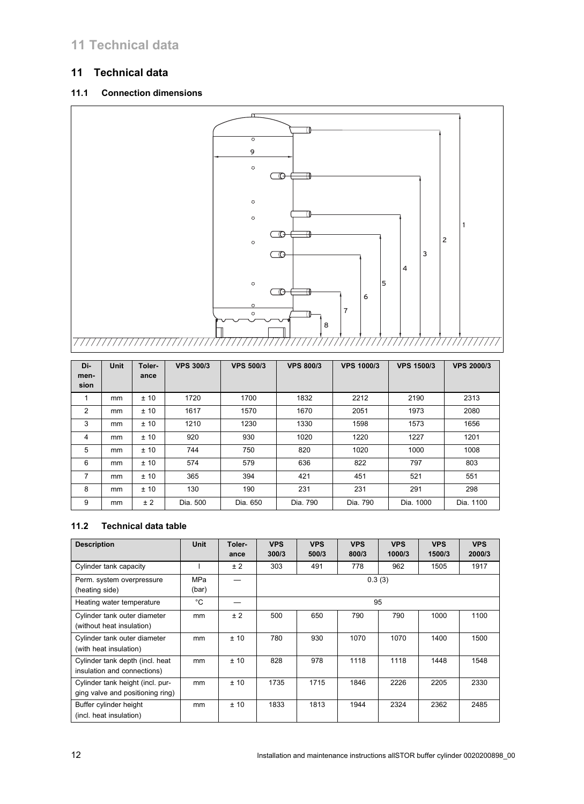# **11 Technical data**

# **11 Technical data**

# **11.1 Connection dimensions**



| Di-<br>men- | <b>Unit</b> | Toler-<br>ance | <b>VPS 300/3</b> | <b>VPS 500/3</b> | <b>VPS 800/3</b> | <b>VPS 1000/3</b> | <b>VPS 1500/3</b> | <b>VPS 2000/3</b> |
|-------------|-------------|----------------|------------------|------------------|------------------|-------------------|-------------------|-------------------|
| sion        |             |                |                  |                  |                  |                   |                   |                   |
|             | mm          | ±10            | 1720             | 1700             | 1832             | 2212              | 2190              | 2313              |
| 2           | mm          | ±10            | 1617             | 1570             | 1670             | 2051              | 1973              | 2080              |
| 3           | mm          | ±10            | 1210             | 1230             | 1330             | 1598              | 1573              | 1656              |
| 4           | mm          | ±10            | 920              | 930              | 1020             | 1220              | 1227              | 1201              |
| 5           | mm          | ± 10           | 744              | 750              | 820              | 1020              | 1000              | 1008              |
| 6           | mm          | ± 10           | 574              | 579              | 636              | 822               | 797               | 803               |
| 7           | mm          | ±10            | 365              | 394              | 421              | 451               | 521               | 551               |
| 8           | mm          | ±10            | 130              | 190              | 231              | 231               | 291               | 298               |
| 9           | mm          | ± 2            | Dia. 500         | Dia. 650         | Dia. 790         | Dia. 790          | Dia. 1000         | Dia. 1100         |

## **11.2 Technical data table**

| <b>Description</b>                                                   | <b>Unit</b>  | Toler-<br>ance | <b>VPS</b><br>300/3 | <b>VPS</b><br>500/3 | <b>VPS</b><br>800/3 | <b>VPS</b><br>1000/3 | <b>VPS</b><br>1500/3 | <b>VPS</b><br>2000/3 |
|----------------------------------------------------------------------|--------------|----------------|---------------------|---------------------|---------------------|----------------------|----------------------|----------------------|
| Cylinder tank capacity                                               |              | ±2             | 303                 | 491                 | 778                 | 962                  | 1505                 | 1917                 |
| Perm. system overpressure<br>(heating side)                          | MPa<br>(bar) |                |                     |                     |                     | 0.3(3)               |                      |                      |
| Heating water temperature                                            | °C           |                |                     |                     |                     | 95                   |                      |                      |
| Cylinder tank outer diameter<br>(without heat insulation)            | mm           | ± 2            | 500                 | 650                 | 790                 | 790                  | 1000                 | 1100                 |
| Cylinder tank outer diameter<br>(with heat insulation)               | mm           | ±10            | 780                 | 930                 | 1070                | 1070                 | 1400                 | 1500                 |
| Cylinder tank depth (incl. heat<br>insulation and connections)       | mm           | ±10            | 828                 | 978                 | 1118                | 1118                 | 1448                 | 1548                 |
| Cylinder tank height (incl. pur-<br>ging valve and positioning ring) | mm           | ±10            | 1735                | 1715                | 1846                | 2226                 | 2205                 | 2330                 |
| Buffer cylinder height<br>(incl. heat insulation)                    | mm           | ±10            | 1833                | 1813                | 1944                | 2324                 | 2362                 | 2485                 |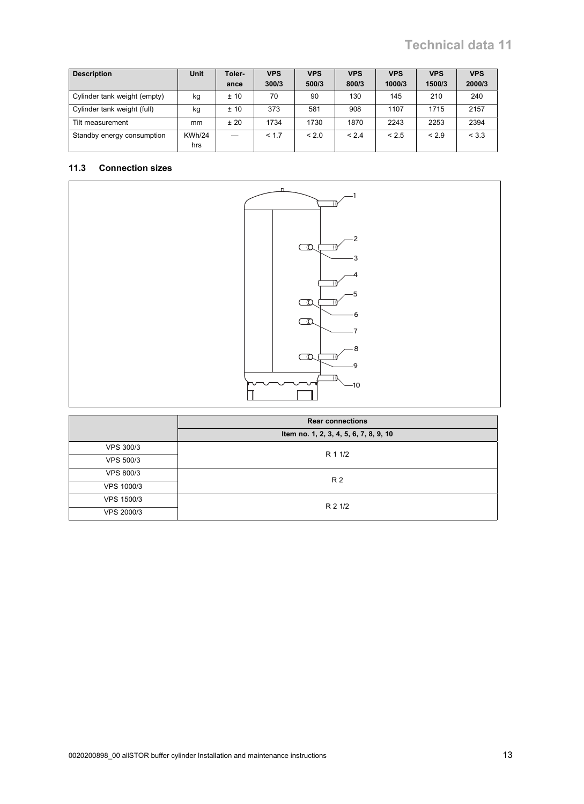# **Technical data 11**

| <b>Description</b>           | <b>Unit</b>          | Toler-<br>ance | <b>VPS</b><br>300/3 | <b>VPS</b><br>500/3 | <b>VPS</b><br>800/3 | <b>VPS</b><br>1000/3 | <b>VPS</b><br>1500/3 | <b>VPS</b><br>2000/3 |
|------------------------------|----------------------|----------------|---------------------|---------------------|---------------------|----------------------|----------------------|----------------------|
| Cylinder tank weight (empty) | kg                   | ±10            | 70                  | 90                  | 130                 | 145                  | 210                  | 240                  |
| Cylinder tank weight (full)  | kg                   | ±10            | 373                 | 581                 | 908                 | 1107                 | 1715                 | 2157                 |
| Tilt measurement             | mm                   | ±20            | 1734                | 1730                | 1870                | 2243                 | 2253                 | 2394                 |
| Standby energy consumption   | <b>KWh/24</b><br>hrs |                | < 1.7               | < 2.0               | < 2.4               | < 2.5                | < 2.9                | < 3.3                |

#### **11.3 Connection sizes**



|                   | <b>Rear connections</b>                |
|-------------------|----------------------------------------|
|                   | Item no. 1, 2, 3, 4, 5, 6, 7, 8, 9, 10 |
| <b>VPS 300/3</b>  | R 1 1/2                                |
| <b>VPS 500/3</b>  |                                        |
| <b>VPS 800/3</b>  | R 2                                    |
| <b>VPS 1000/3</b> |                                        |
| <b>VPS 1500/3</b> | R 2 1/2                                |
| <b>VPS 2000/3</b> |                                        |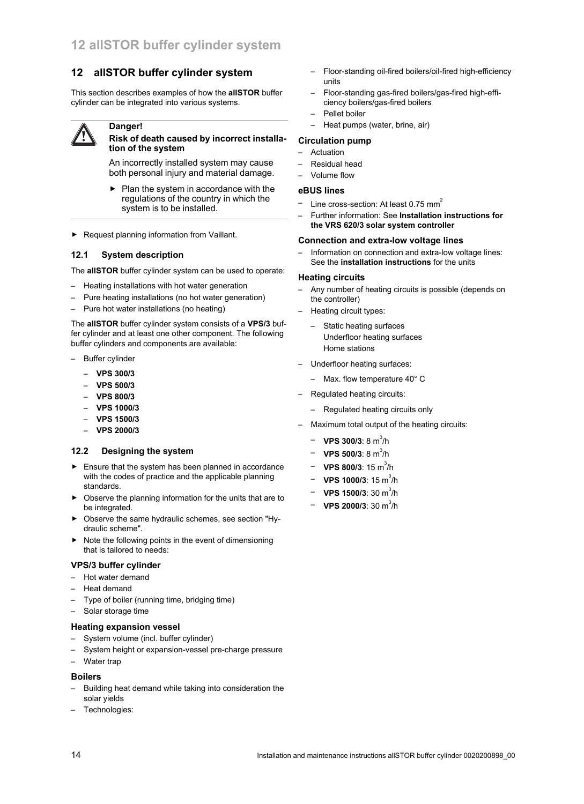## **12 allSTOR buffer cylinder system**

This section describes examples of how the **allSTOR** buffer cylinder can be integrated into various systems.

#### **Danger!**

#### **Risk of death caused by incorrect installation of the system**

An incorrectly installed system may cause both personal injury and material damage.

- ▶ Plan the system in accordance with the regulations of the country in which the system is to be installed.
- ▶ Request planning information from Vaillant.

#### **12.1 System description**

The **allSTOR** buffer cylinder system can be used to operate:

- Heating installations with hot water generation
- Pure heating installations (no hot water generation)
- Pure hot water installations (no heating)

The **allSTOR** buffer cylinder system consists of a **VPS/3** buffer cylinder and at least one other component. The following buffer cylinders and components are available:

- Buffer cylinder
	- **VPS 300/3**
	- **VPS 500/3**
	- **VPS 800/3**
	- **VPS 1000/3**
	- **VPS 1500/3**
	- **VPS 2000/3**

#### **12.2 Designing the system**

- $\blacktriangleright$  Ensure that the system has been planned in accordance with the codes of practice and the applicable planning standards.
- ▶ Observe the planning information for the units that are to be integrated.
- ▶ Observe the same hydraulic schemes, see section "Hydraulic scheme".
- ▶ Note the following points in the event of dimensioning that is tailored to needs:

#### **VPS/3 buffer cylinder**

- Hot water demand
- Heat demand
- Type of boiler (running time, bridging time)
- Solar storage time
- **Heating expansion vessel**
- System volume (incl. buffer cylinder)
- System height or expansion-vessel pre-charge pressure
- Water trap

#### **Boilers**

- Building heat demand while taking into consideration the solar yields
- Technologies:
- Floor-standing oil-fired boilers/oil-fired high-efficiency units
- Floor-standing gas-fired boilers/gas-fired high-efficiency boilers/gas-fired boilers
- Pellet boiler
- Heat pumps (water, brine, air)

#### **Circulation pump**

- Actuation
- Residual head
- Volume flow

#### **eBUS lines**

- Line cross-section: At least 0.75 mm<sup>2</sup>
- Further information: See **Installation instructions for the VRS 620/3 solar system controller**

#### **Connection and extra-low voltage lines**

Information on connection and extra-low voltage lines: See the **installation instructions** for the units

#### **Heating circuits**

- Any number of heating circuits is possible (depends on the controller)
- Heating circuit types:
	- Static heating surfaces Underfloor heating surfaces Home stations
- Underfloor heating surfaces:
	- Max. flow temperature 40° C
- Regulated heating circuits:
	- Regulated heating circuits only
- Maximum total output of the heating circuits:
	- **VPS 300/3**: 8 m<sup>3</sup> /h
	- **VPS 500/3**: 8 m<sup>3</sup> /h
	- **VPS 800/3**: 15 m<sup>3</sup> /h
	- **VPS 1000/3**: 15 m<sup>3</sup>/h
	- − **VPS 1500/3**: 30 m<sup>3</sup>/h
	- **VPS 2000/3**: 30 m<sup>3</sup> /h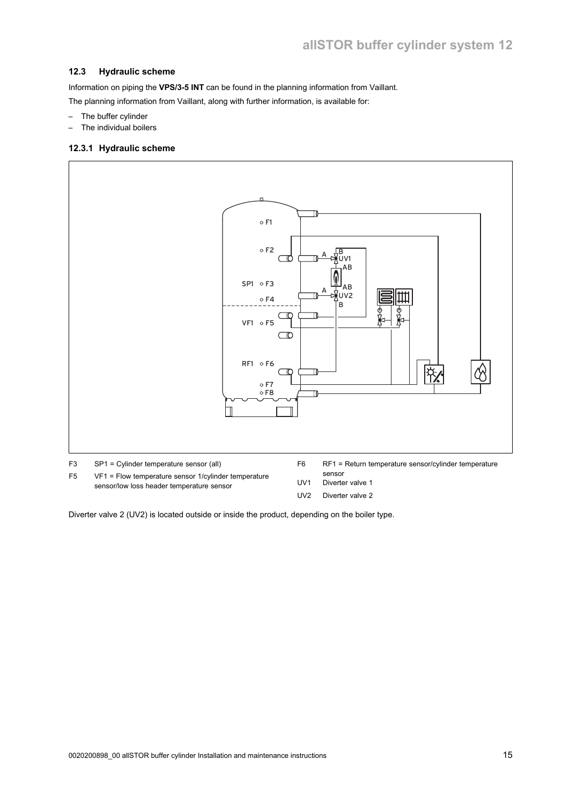#### **12.3 Hydraulic scheme**

Information on piping the **VPS/3-5 INT** can be found in the planning information from Vaillant.

The planning information from Vaillant, along with further information, is available for:

- The buffer cylinder
- The individual boilers

#### **12.3.1 Hydraulic scheme**



UV2 Diverter valve 2

Diverter valve 2 (UV2) is located outside or inside the product, depending on the boiler type.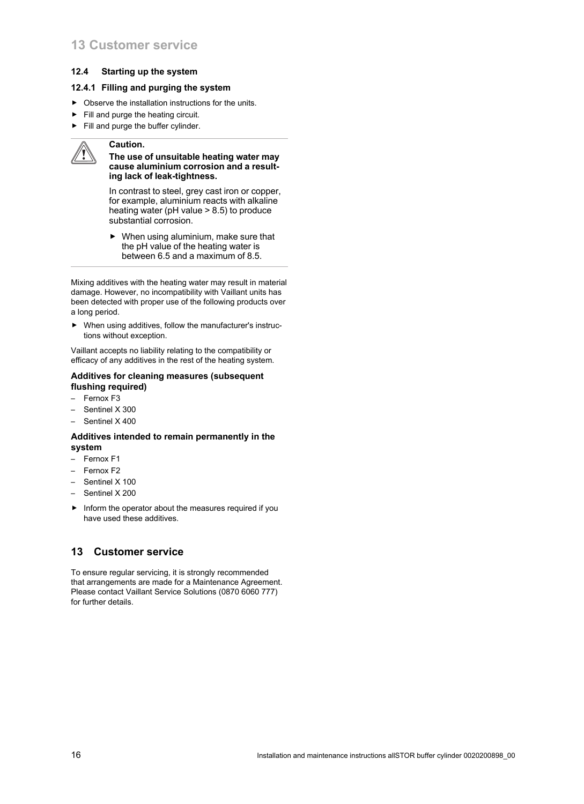#### **12.4 Starting up the system**

#### **12.4.1 Filling and purging the system**

- $\triangleright$  Observe the installation instructions for the units.
- $\blacktriangleright$  Fill and purge the heating circuit.
- ▶ Fill and purge the buffer cylinder.

#### **Caution.**

#### **The use of unsuitable heating water may cause aluminium corrosion and a resulting lack of leak-tightness.**

In contrast to steel, grey cast iron or copper, for example, aluminium reacts with alkaline heating water (pH value > 8.5) to produce substantial corrosion.

 $\triangleright$  When using aluminium, make sure that the pH value of the heating water is between 6.5 and a maximum of 8.5.

Mixing additives with the heating water may result in material damage. However, no incompatibility with Vaillant units has been detected with proper use of the following products over a long period.

▶ When using additives, follow the manufacturer's instructions without exception.

Vaillant accepts no liability relating to the compatibility or efficacy of any additives in the rest of the heating system.

#### **Additives for cleaning measures (subsequent flushing required)**

- Fernox F3
- Sentinel X 300
- Sentinel X 400

#### **Additives intended to remain permanently in the system**

- Fernox F1
- Fernox F2
- Sentinel X 100
- Sentinel X 200
- ▶ Inform the operator about the measures required if you have used these additives.

## **13 Customer service**

To ensure regular servicing, it is strongly recommended that arrangements are made for a Maintenance Agreement. Please contact Vaillant Service Solutions (0870 6060 777) for further details.